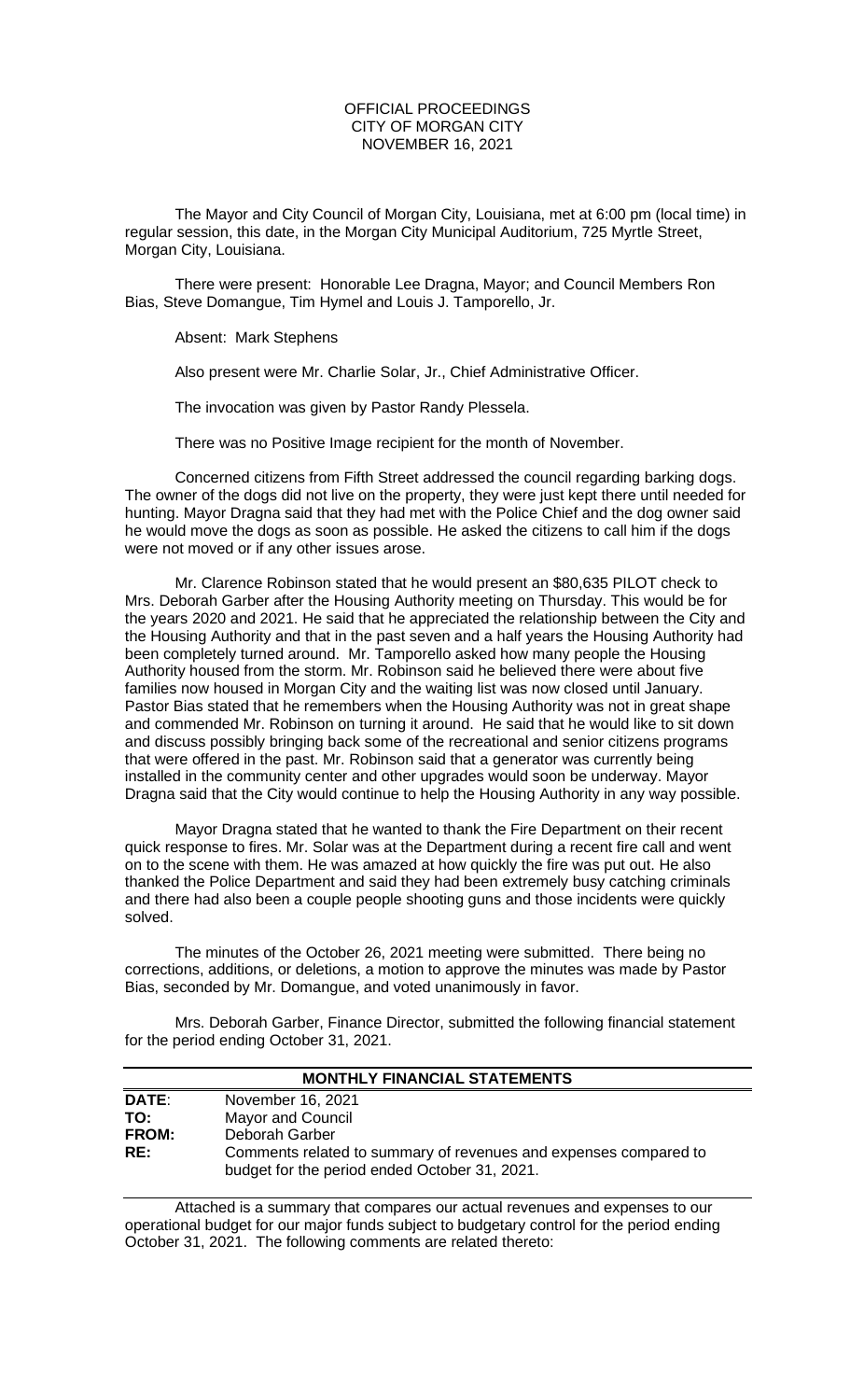# OFFICIAL PROCEEDINGS CITY OF MORGAN CITY NOVEMBER 16, 2021

The Mayor and City Council of Morgan City, Louisiana, met at 6:00 pm (local time) in regular session, this date, in the Morgan City Municipal Auditorium, 725 Myrtle Street, Morgan City, Louisiana.

There were present: Honorable Lee Dragna, Mayor; and Council Members Ron Bias, Steve Domangue, Tim Hymel and Louis J. Tamporello, Jr.

Absent: Mark Stephens

Also present were Mr. Charlie Solar, Jr., Chief Administrative Officer.

The invocation was given by Pastor Randy Plessela.

There was no Positive Image recipient for the month of November.

Concerned citizens from Fifth Street addressed the council regarding barking dogs. The owner of the dogs did not live on the property, they were just kept there until needed for hunting. Mayor Dragna said that they had met with the Police Chief and the dog owner said he would move the dogs as soon as possible. He asked the citizens to call him if the dogs were not moved or if any other issues arose.

Mr. Clarence Robinson stated that he would present an \$80,635 PILOT check to Mrs. Deborah Garber after the Housing Authority meeting on Thursday. This would be for the years 2020 and 2021. He said that he appreciated the relationship between the City and the Housing Authority and that in the past seven and a half years the Housing Authority had been completely turned around. Mr. Tamporello asked how many people the Housing Authority housed from the storm. Mr. Robinson said he believed there were about five families now housed in Morgan City and the waiting list was now closed until January. Pastor Bias stated that he remembers when the Housing Authority was not in great shape and commended Mr. Robinson on turning it around. He said that he would like to sit down and discuss possibly bringing back some of the recreational and senior citizens programs that were offered in the past. Mr. Robinson said that a generator was currently being installed in the community center and other upgrades would soon be underway. Mayor Dragna said that the City would continue to help the Housing Authority in any way possible.

Mayor Dragna stated that he wanted to thank the Fire Department on their recent quick response to fires. Mr. Solar was at the Department during a recent fire call and went on to the scene with them. He was amazed at how quickly the fire was put out. He also thanked the Police Department and said they had been extremely busy catching criminals and there had also been a couple people shooting guns and those incidents were quickly solved.

The minutes of the October 26, 2021 meeting were submitted. There being no corrections, additions, or deletions, a motion to approve the minutes was made by Pastor Bias, seconded by Mr. Domangue, and voted unanimously in favor.

Mrs. Deborah Garber, Finance Director, submitted the following financial statement for the period ending October 31, 2021.

| <b>MONTHLY FINANCIAL STATEMENTS</b> |                                                                                                                   |  |  |
|-------------------------------------|-------------------------------------------------------------------------------------------------------------------|--|--|
| <b>DATE:</b>                        | November 16, 2021                                                                                                 |  |  |
| TO:                                 | <b>Mayor and Council</b>                                                                                          |  |  |
| <b>FROM:</b>                        | Deborah Garber                                                                                                    |  |  |
| RE:                                 | Comments related to summary of revenues and expenses compared to<br>budget for the period ended October 31, 2021. |  |  |

Attached is a summary that compares our actual revenues and expenses to our operational budget for our major funds subject to budgetary control for the period ending October 31, 2021. The following comments are related thereto: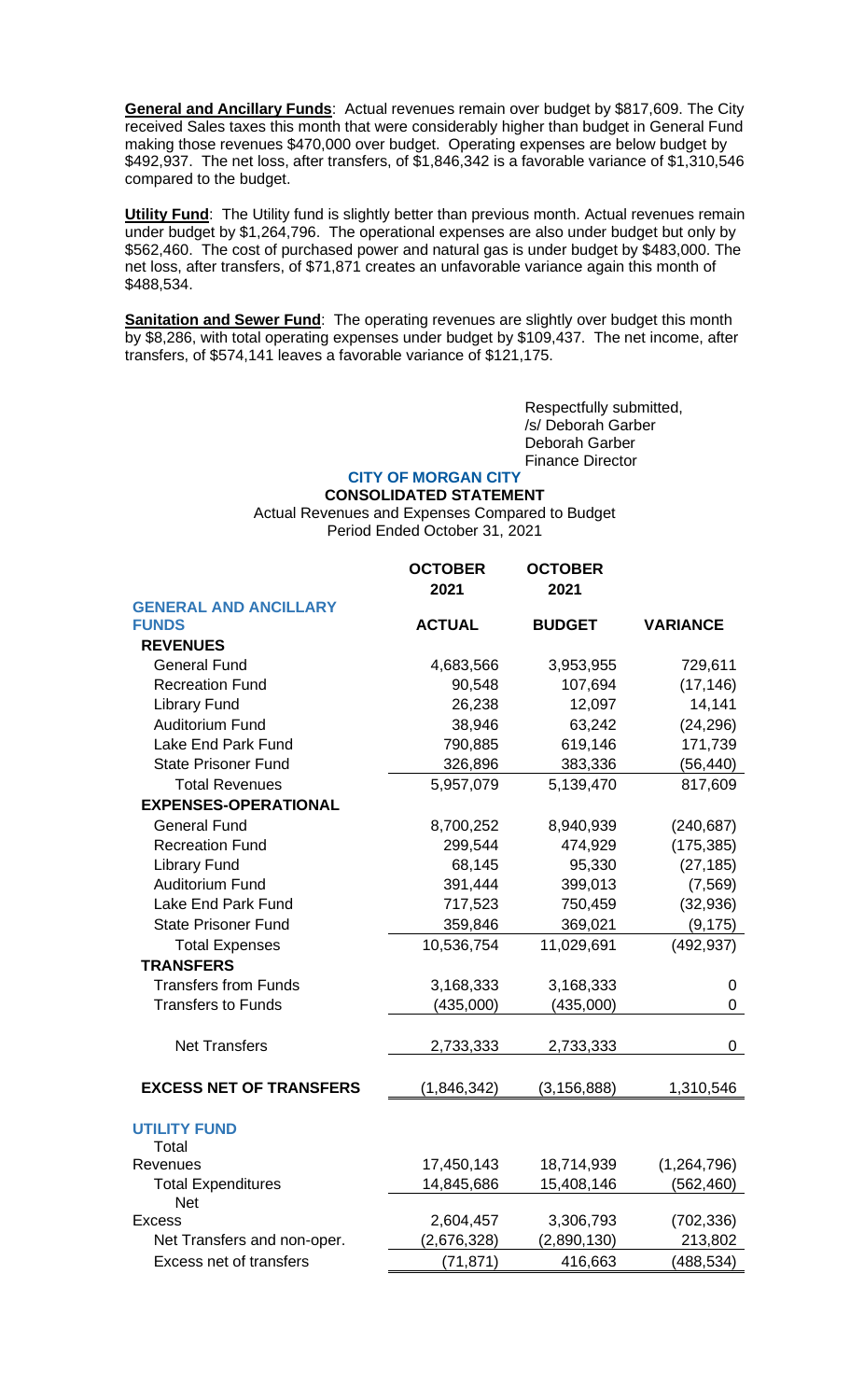**General and Ancillary Funds**: Actual revenues remain over budget by \$817,609. The City received Sales taxes this month that were considerably higher than budget in General Fund making those revenues \$470,000 over budget. Operating expenses are below budget by \$492,937. The net loss, after transfers, of \$1,846,342 is a favorable variance of \$1,310,546 compared to the budget.

**Utility Fund**: The Utility fund is slightly better than previous month. Actual revenues remain under budget by \$1,264,796. The operational expenses are also under budget but only by \$562,460. The cost of purchased power and natural gas is under budget by \$483,000. The net loss, after transfers, of \$71,871 creates an unfavorable variance again this month of \$488,534.

**Sanitation and Sewer Fund**: The operating revenues are slightly over budget this month by \$8,286, with total operating expenses under budget by \$109,437. The net income, after transfers, of \$574,141 leaves a favorable variance of \$121,175.

> Respectfully submitted, /s/ Deborah Garber Deborah Garber Finance Director

## **CITY OF MORGAN CITY CONSOLIDATED STATEMENT**

Actual Revenues and Expenses Compared to Budget Period Ended October 31, 2021

|                                | <b>OCTOBER</b><br>2021 | <b>OCTOBER</b><br>2021 |                 |
|--------------------------------|------------------------|------------------------|-----------------|
| <b>GENERAL AND ANCILLARY</b>   |                        |                        |                 |
| <b>FUNDS</b>                   | <b>ACTUAL</b>          | <b>BUDGET</b>          | <b>VARIANCE</b> |
| <b>REVENUES</b>                |                        |                        |                 |
| <b>General Fund</b>            | 4,683,566              | 3,953,955              | 729,611         |
| <b>Recreation Fund</b>         | 90,548                 | 107,694                | (17, 146)       |
| <b>Library Fund</b>            | 26,238                 | 12,097                 | 14,141          |
| <b>Auditorium Fund</b>         | 38,946                 | 63,242                 | (24, 296)       |
| Lake End Park Fund             | 790,885                | 619,146                | 171,739         |
| <b>State Prisoner Fund</b>     | 326,896                | 383,336                | (56, 440)       |
| <b>Total Revenues</b>          | 5,957,079              | 5,139,470              | 817,609         |
| <b>EXPENSES-OPERATIONAL</b>    |                        |                        |                 |
| <b>General Fund</b>            | 8,700,252              | 8,940,939              | (240, 687)      |
| <b>Recreation Fund</b>         | 299,544                | 474,929                | (175, 385)      |
| <b>Library Fund</b>            | 68,145                 | 95,330                 | (27, 185)       |
| <b>Auditorium Fund</b>         | 391,444                | 399,013                | (7, 569)        |
| Lake End Park Fund             | 717,523                | 750,459                | (32, 936)       |
| <b>State Prisoner Fund</b>     | 359,846                | 369,021                | (9, 175)        |
| <b>Total Expenses</b>          | 10,536,754             | 11,029,691             | (492, 937)      |
| <b>TRANSFERS</b>               |                        |                        |                 |
| <b>Transfers from Funds</b>    | 3,168,333              | 3,168,333              | 0               |
| <b>Transfers to Funds</b>      | (435,000)              | (435,000)              | 0               |
|                                |                        |                        |                 |
| <b>Net Transfers</b>           | 2,733,333              | 2,733,333              | 0               |
|                                |                        |                        |                 |
| <b>EXCESS NET OF TRANSFERS</b> | (1,846,342)            | (3, 156, 888)          | 1,310,546       |
| <b>UTILITY FUND</b><br>Total   |                        |                        |                 |
| Revenues                       | 17,450,143             | 18,714,939             | (1, 264, 796)   |
| <b>Total Expenditures</b>      | 14,845,686             | 15,408,146             | (562, 460)      |
| <b>Net</b>                     |                        |                        |                 |
| <b>Excess</b>                  | 2,604,457              | 3,306,793              | (702, 336)      |
| Net Transfers and non-oper.    | (2,676,328)            | (2,890,130)            | 213,802         |
| <b>Excess net of transfers</b> | (71, 871)              | 416,663                | (488, 534)      |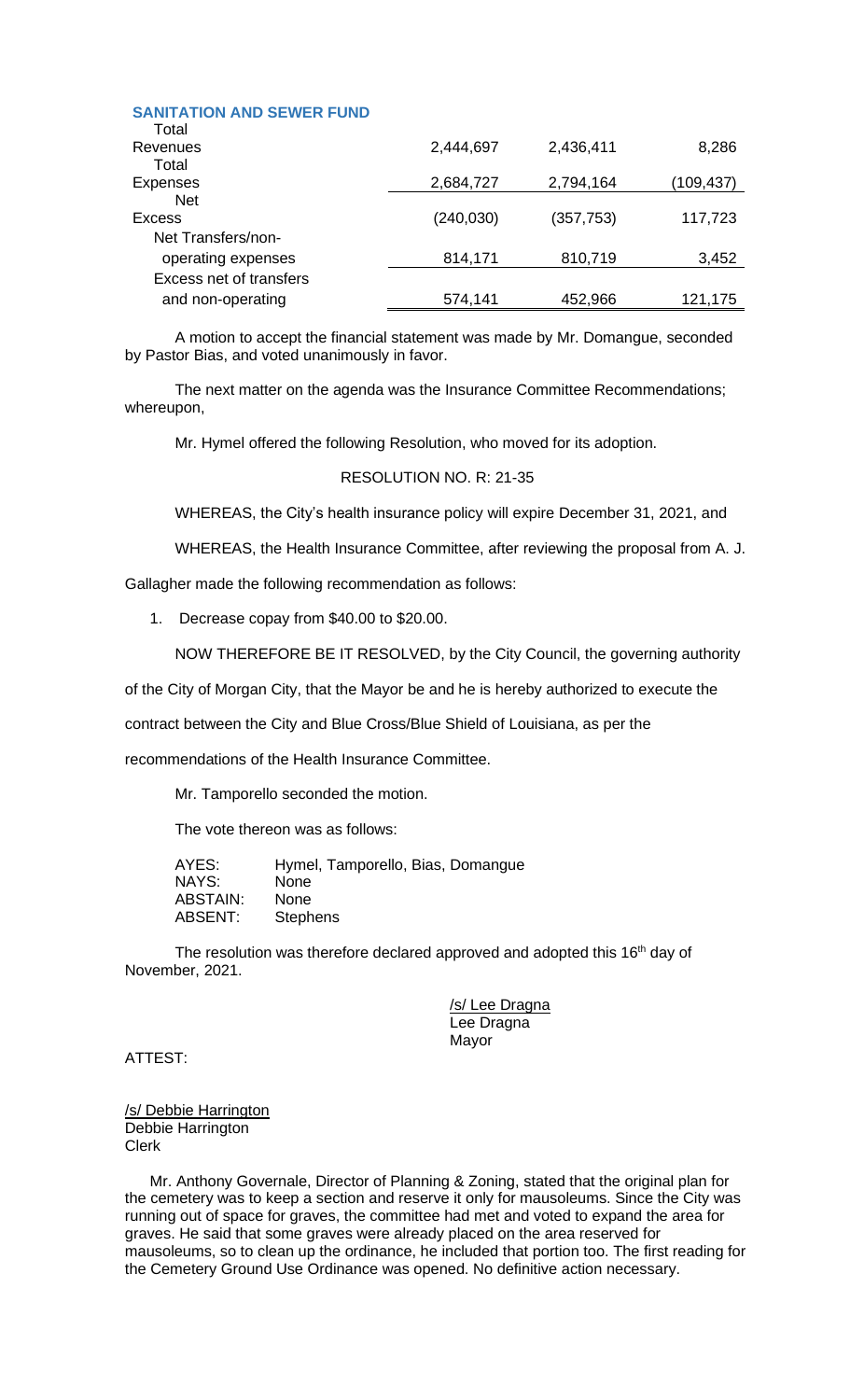| <b>SANITATION AND SEWER FUND</b><br>Total |            |            |           |
|-------------------------------------------|------------|------------|-----------|
| Revenues                                  | 2,444,697  | 2,436,411  | 8,286     |
| Total                                     |            |            |           |
| <b>Expenses</b>                           | 2,684,727  | 2,794,164  | (109,437) |
| <b>Net</b>                                |            |            |           |
| Excess                                    | (240, 030) | (357, 753) | 117,723   |
| Net Transfers/non-                        |            |            |           |
| operating expenses                        | 814,171    | 810,719    | 3,452     |
| Excess net of transfers                   |            |            |           |
| and non-operating                         | 574,141    | 452,966    | 121,175   |

A motion to accept the financial statement was made by Mr. Domangue, seconded by Pastor Bias, and voted unanimously in favor.

The next matter on the agenda was the Insurance Committee Recommendations; whereupon,

Mr. Hymel offered the following Resolution, who moved for its adoption.

# RESOLUTION NO. R: 21-35

WHEREAS, the City's health insurance policy will expire December 31, 2021, and

WHEREAS, the Health Insurance Committee, after reviewing the proposal from A. J.

Gallagher made the following recommendation as follows:

1. Decrease copay from \$40.00 to \$20.00.

NOW THEREFORE BE IT RESOLVED, by the City Council, the governing authority

of the City of Morgan City, that the Mayor be and he is hereby authorized to execute the

contract between the City and Blue Cross/Blue Shield of Louisiana, as per the

recommendations of the Health Insurance Committee.

Mr. Tamporello seconded the motion.

The vote thereon was as follows:

AYES: Hymel, Tamporello, Bias, Domangue NAYS: None ABSTAIN: None ABSENT: Stephens

The resolution was therefore declared approved and adopted this 16<sup>th</sup> day of November, 2021.

> /s/ Lee Dragna Lee Dragna Mayor

ATTEST:

/s/ Debbie Harrington Debbie Harrington Clerk

Mr. Anthony Governale, Director of Planning & Zoning, stated that the original plan for the cemetery was to keep a section and reserve it only for mausoleums. Since the City was running out of space for graves, the committee had met and voted to expand the area for graves. He said that some graves were already placed on the area reserved for mausoleums, so to clean up the ordinance, he included that portion too. The first reading for the Cemetery Ground Use Ordinance was opened. No definitive action necessary.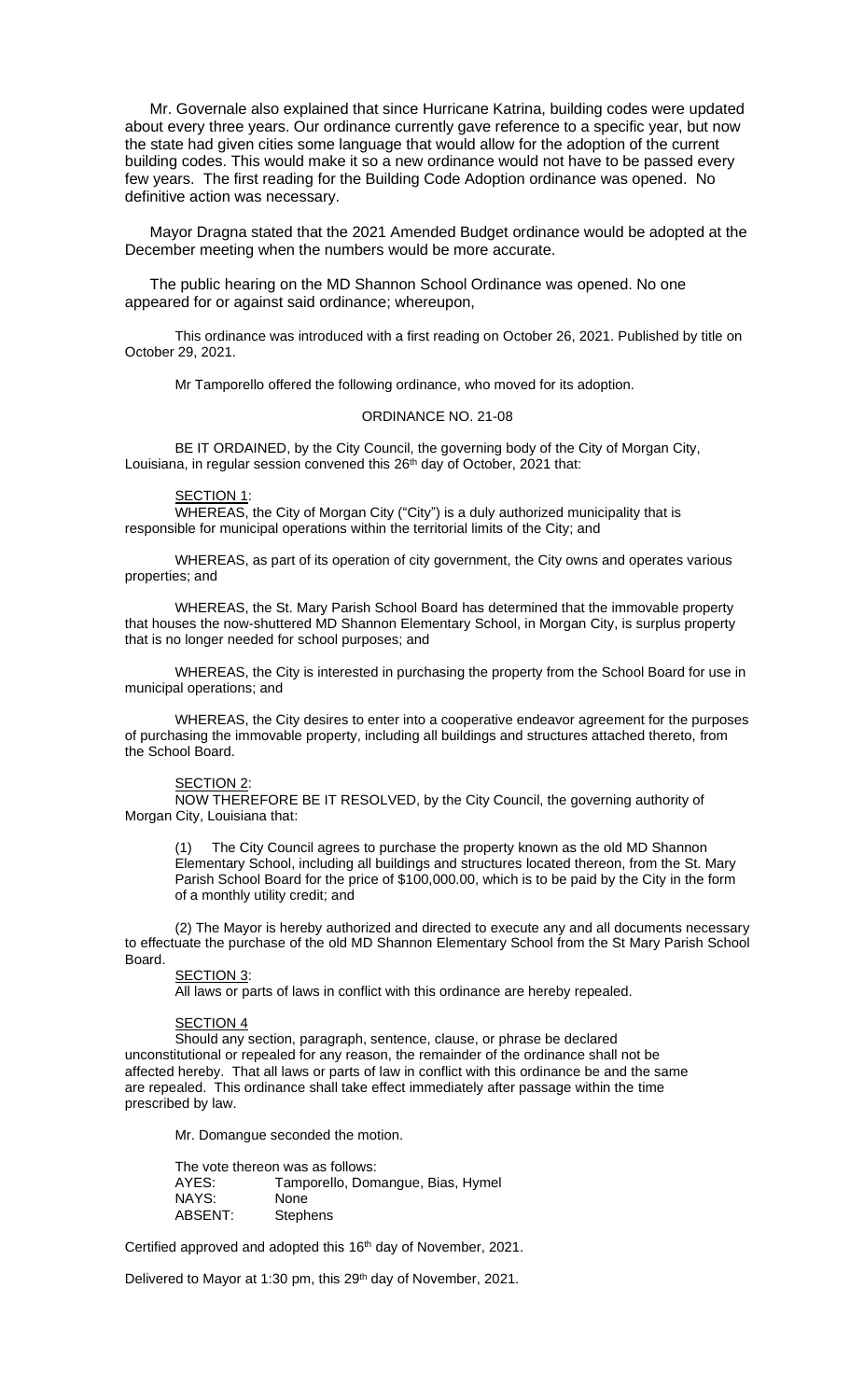Mr. Governale also explained that since Hurricane Katrina, building codes were updated about every three years. Our ordinance currently gave reference to a specific year, but now the state had given cities some language that would allow for the adoption of the current building codes. This would make it so a new ordinance would not have to be passed every few years. The first reading for the Building Code Adoption ordinance was opened. No definitive action was necessary.

Mayor Dragna stated that the 2021 Amended Budget ordinance would be adopted at the December meeting when the numbers would be more accurate.

The public hearing on the MD Shannon School Ordinance was opened. No one appeared for or against said ordinance; whereupon,

This ordinance was introduced with a first reading on October 26, 2021. Published by title on October 29, 2021.

Mr Tamporello offered the following ordinance, who moved for its adoption.

## ORDINANCE NO. 21-08

BE IT ORDAINED, by the City Council, the governing body of the City of Morgan City, Louisiana, in regular session convened this 26<sup>th</sup> day of October, 2021 that:

## SECTION 1:

WHEREAS, the City of Morgan City ("City") is a duly authorized municipality that is responsible for municipal operations within the territorial limits of the City; and

WHEREAS, as part of its operation of city government, the City owns and operates various properties; and

WHEREAS, the St. Mary Parish School Board has determined that the immovable property that houses the now-shuttered MD Shannon Elementary School, in Morgan City, is surplus property that is no longer needed for school purposes; and

WHEREAS, the City is interested in purchasing the property from the School Board for use in municipal operations; and

WHEREAS, the City desires to enter into a cooperative endeavor agreement for the purposes of purchasing the immovable property, including all buildings and structures attached thereto, from the School Board.

### SECTION 2

NOW THEREFORE BE IT RESOLVED, by the City Council, the governing authority of Morgan City, Louisiana that:

(1) The City Council agrees to purchase the property known as the old MD Shannon Elementary School, including all buildings and structures located thereon, from the St. Mary Parish School Board for the price of \$100,000.00, which is to be paid by the City in the form of a monthly utility credit; and

(2) The Mayor is hereby authorized and directed to execute any and all documents necessary to effectuate the purchase of the old MD Shannon Elementary School from the St Mary Parish School Board.

### SECTION 3:

All laws or parts of laws in conflict with this ordinance are hereby repealed.

### **SECTION 4**

Should any section, paragraph, sentence, clause, or phrase be declared unconstitutional or repealed for any reason, the remainder of the ordinance shall not be affected hereby. That all laws or parts of law in conflict with this ordinance be and the same are repealed. This ordinance shall take effect immediately after passage within the time prescribed by law.

Mr. Domangue seconded the motion.

The vote thereon was as follows: AYES: Tamporello, Domangue, Bias, Hymel NAYS: None<br>ABSENT: Steph Stephens

Certified approved and adopted this 16<sup>th</sup> day of November, 2021.

Delivered to Mayor at 1:30 pm, this 29<sup>th</sup> day of November, 2021.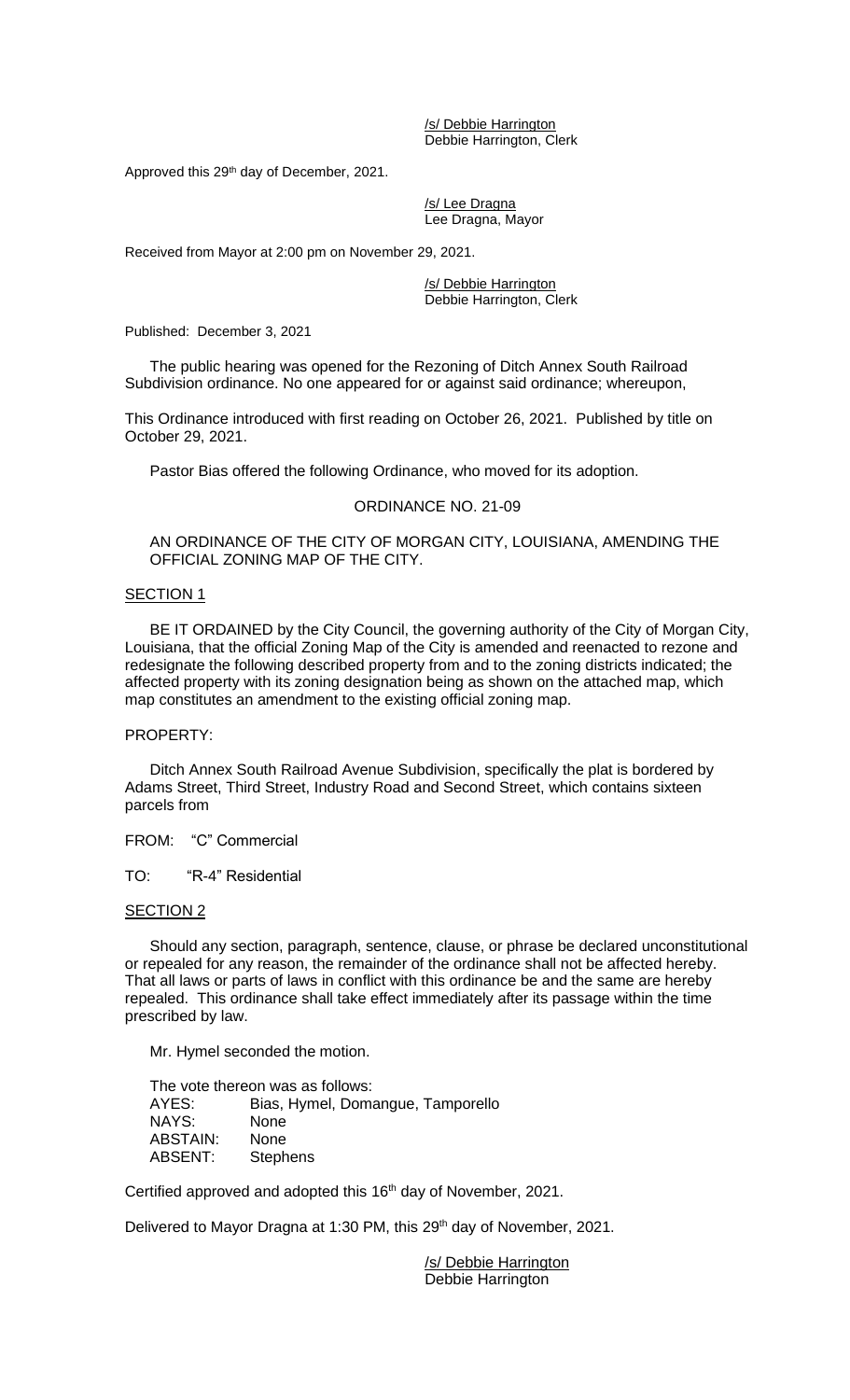/s/ Debbie Harrington Debbie Harrington, Clerk

Approved this 29<sup>th</sup> day of December, 2021.

/s/ Lee Dragna Lee Dragna, Mayor

Received from Mayor at 2:00 pm on November 29, 2021.

/s/ Debbie Harrington Debbie Harrington, Clerk

Published: December 3, 2021

The public hearing was opened for the Rezoning of Ditch Annex South Railroad Subdivision ordinance. No one appeared for or against said ordinance; whereupon,

This Ordinance introduced with first reading on October 26, 2021. Published by title on October 29, 2021.

Pastor Bias offered the following Ordinance, who moved for its adoption.

## ORDINANCE NO. 21-09

AN ORDINANCE OF THE CITY OF MORGAN CITY, LOUISIANA, AMENDING THE OFFICIAL ZONING MAP OF THE CITY.

# SECTION 1

BE IT ORDAINED by the City Council, the governing authority of the City of Morgan City, Louisiana, that the official Zoning Map of the City is amended and reenacted to rezone and redesignate the following described property from and to the zoning districts indicated; the affected property with its zoning designation being as shown on the attached map, which map constitutes an amendment to the existing official zoning map.

# PROPERTY:

Ditch Annex South Railroad Avenue Subdivision, specifically the plat is bordered by Adams Street, Third Street, Industry Road and Second Street, which contains sixteen parcels from

FROM: "C" Commercial

TO: "R-4" Residential

## SECTION 2

Should any section, paragraph, sentence, clause, or phrase be declared unconstitutional or repealed for any reason, the remainder of the ordinance shall not be affected hereby. That all laws or parts of laws in conflict with this ordinance be and the same are hereby repealed. This ordinance shall take effect immediately after its passage within the time prescribed by law.

Mr. Hymel seconded the motion.

The vote thereon was as follows: AYES: Bias, Hymel, Domangue, Tamporello NAYS: None ABSTAIN: None ABSENT: Stephens

Certified approved and adopted this 16<sup>th</sup> day of November, 2021.

Delivered to Mayor Dragna at 1:30 PM, this 29<sup>th</sup> day of November, 2021.

/s/ Debbie Harrington Debbie Harrington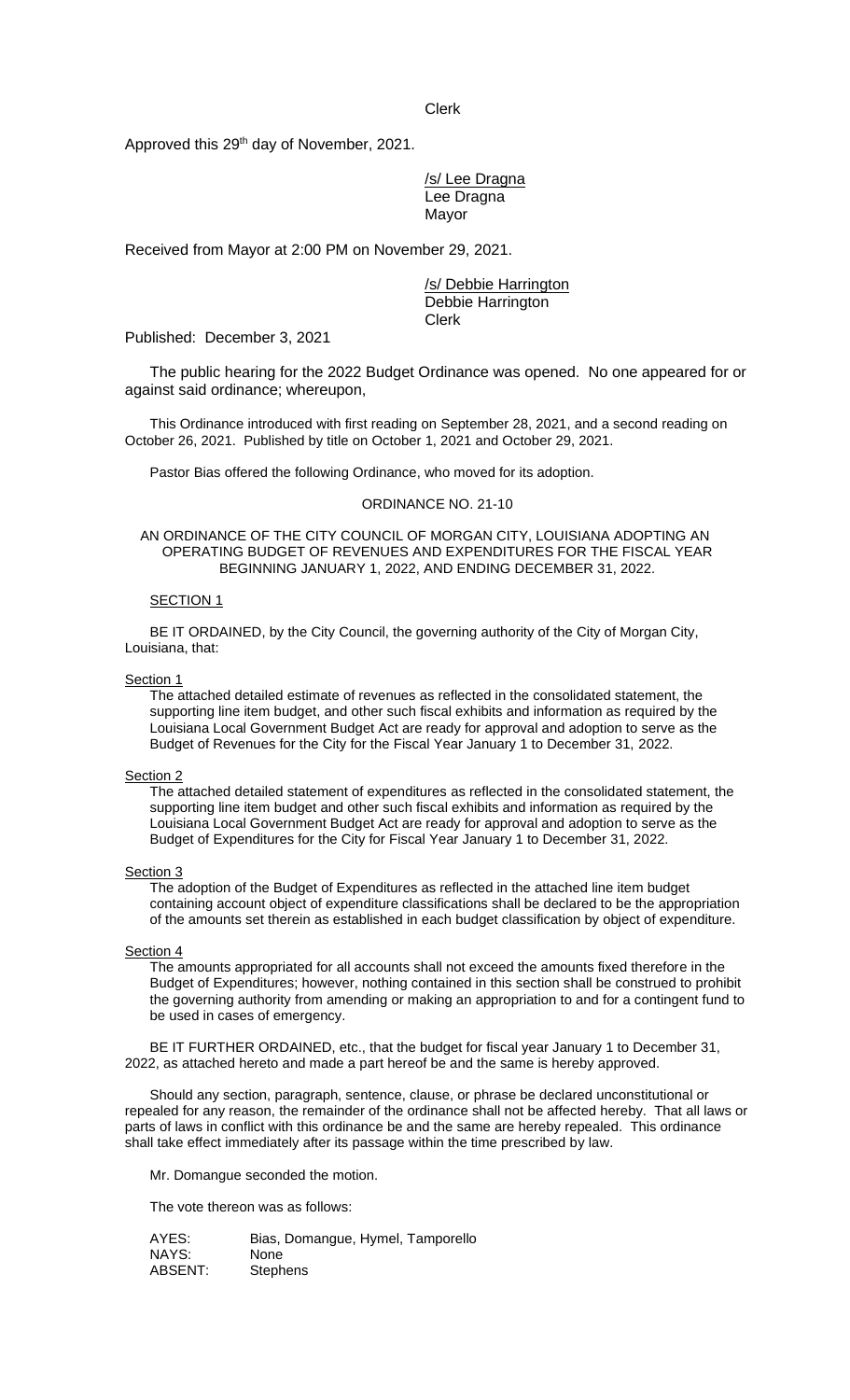Clerk

Approved this 29<sup>th</sup> day of November, 2021.

/s/ Lee Dragna Lee Dragna Mayor

Received from Mayor at 2:00 PM on November 29, 2021.

/s/ Debbie Harrington Debbie Harrington Clerk

Published: December 3, 2021

The public hearing for the 2022 Budget Ordinance was opened. No one appeared for or against said ordinance; whereupon,

This Ordinance introduced with first reading on September 28, 2021, and a second reading on October 26, 2021. Published by title on October 1, 2021 and October 29, 2021.

Pastor Bias offered the following Ordinance, who moved for its adoption.

#### ORDINANCE NO. 21-10

### AN ORDINANCE OF THE CITY COUNCIL OF MORGAN CITY, LOUISIANA ADOPTING AN OPERATING BUDGET OF REVENUES AND EXPENDITURES FOR THE FISCAL YEAR BEGINNING JANUARY 1, 2022, AND ENDING DECEMBER 31, 2022.

#### SECTION<sub>1</sub>

BE IT ORDAINED, by the City Council, the governing authority of the City of Morgan City, Louisiana, that:

#### Section 1

The attached detailed estimate of revenues as reflected in the consolidated statement, the supporting line item budget, and other such fiscal exhibits and information as required by the Louisiana Local Government Budget Act are ready for approval and adoption to serve as the Budget of Revenues for the City for the Fiscal Year January 1 to December 31, 2022.

#### Section 2

The attached detailed statement of expenditures as reflected in the consolidated statement, the supporting line item budget and other such fiscal exhibits and information as required by the Louisiana Local Government Budget Act are ready for approval and adoption to serve as the Budget of Expenditures for the City for Fiscal Year January 1 to December 31, 2022.

Section 3

The adoption of the Budget of Expenditures as reflected in the attached line item budget containing account object of expenditure classifications shall be declared to be the appropriation of the amounts set therein as established in each budget classification by object of expenditure.

#### Section 4

The amounts appropriated for all accounts shall not exceed the amounts fixed therefore in the Budget of Expenditures; however, nothing contained in this section shall be construed to prohibit the governing authority from amending or making an appropriation to and for a contingent fund to be used in cases of emergency.

BE IT FURTHER ORDAINED, etc., that the budget for fiscal year January 1 to December 31, 2022, as attached hereto and made a part hereof be and the same is hereby approved.

Should any section, paragraph, sentence, clause, or phrase be declared unconstitutional or repealed for any reason, the remainder of the ordinance shall not be affected hereby. That all laws or parts of laws in conflict with this ordinance be and the same are hereby repealed. This ordinance shall take effect immediately after its passage within the time prescribed by law.

Mr. Domangue seconded the motion.

The vote thereon was as follows:

AYES: Bias, Domangue, Hymel, Tamporello NAYS: None<br>ABSENT: Steph Stephens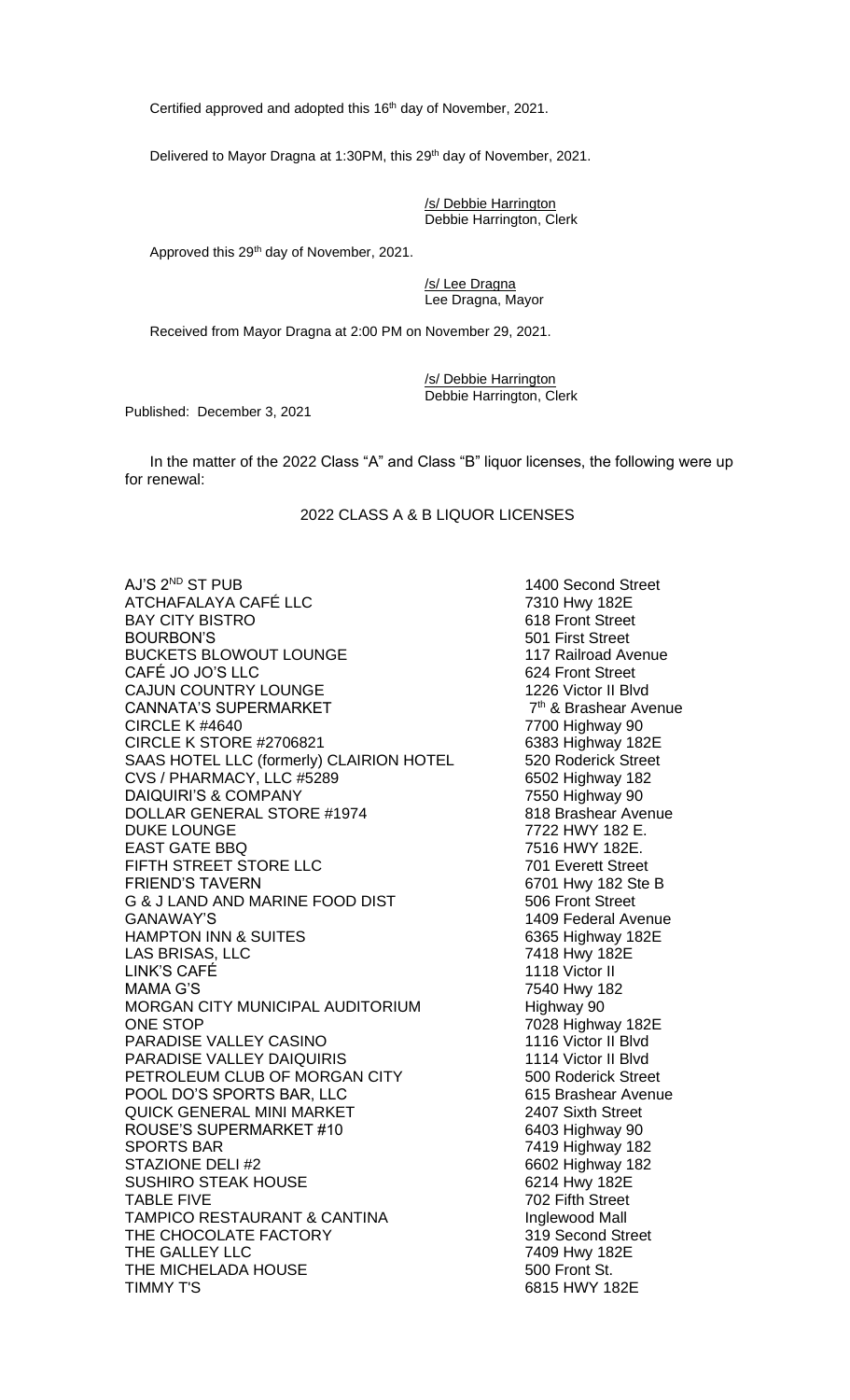Certified approved and adopted this 16<sup>th</sup> day of November, 2021.

Delivered to Mayor Dragna at 1:30PM, this 29<sup>th</sup> day of November, 2021.

/s/ Debbie Harrington Debbie Harrington, Clerk

Approved this 29<sup>th</sup> day of November, 2021.

/s/ Lee Dragna Lee Dragna, Mayor

Received from Mayor Dragna at 2:00 PM on November 29, 2021.

/s/ Debbie Harrington Debbie Harrington, Clerk

Published: December 3, 2021

In the matter of the 2022 Class "A" and Class "B" liquor licenses, the following were up for renewal:

2022 CLASS A & B LIQUOR LICENSES

AJ'S 2ND ST PUB 1400 Second Street ATCHAFALAYA CAFÉ LLC 7310 Hwy 182E BAY CITY BISTRO **618** Front Street BOURBON'S<br>BUCKETS BLOWOUT LOUNGE<br>117 Railroad Avenue BUCKETS BLOWOUT LOUNGE CAFÉ JO JO'S LLC 624 Front Street CAJUN COUNTRY LOUNGE 1226 Victor II Blvd CANNATA'S SUPERMARKET<br>CIRCLE K #4640 CIRCLE K STORE #2706821 SAAS HOTEL LLC (formerly) CLAIRION HOTEL 520 Roderick Street CVS / PHARMACY, LLC #5289 6502 Highway 182 DAIQUIRI'S & COMPANY<br>DOLLAR GENERAL STORE #1974 7550 Highway 90 DOLLAR GENERAL STORE #1974 DUKE LOUNGE<br>EAST GATE BBQ<br>FAST GATE BBQ EAST GATE BBQ FIFTH STREET STORE LLC 701 Everett Street FRIEND'S TAVERN<br>
G & J LAND AND MARINE FOOD DIST 6701 Hwy 182 Ste B **G & J LAND AND MARINE FOOD DIST** GANAWAY'S 1409 Federal Avenue HAMPTON INN & SUITES 6365 Highway 182E LAS BRISAS, LLC LINK'S CAFÉ 1118 Victor II MAMA G'S 7540 Hwy 182 MORGAN CITY MUNICIPAL AUDITORIUM Highway 90<br>ONE STOP 7028 Highw PARADISE VALLEY CASINO 1116 Victor II Blvd PARADISE VALLEY DAIQUIRIS 1114 Victor II Blvd PETROLEUM CLUB OF MORGAN CITY 500 Roderick Street POOL DO'S SPORTS BAR, LLC 615 Brashear Avenue QUICK GENERAL MINI MARKET 2407 Sixth Street ROUSE'S SUPERMARKET #10 6403 Highway 90 SPORTS BAR 7419 Highway 182 STAZIONE DELI #2<br>SUSHIRO STEAK HOUSE 6602 Highway 182 SUSHIRO STEAK HOUSE TABLE FIVE 702 Fifth Street TAMPICO RESTAURANT & CANTINA **Inglewood Mall** THE CHOCOLATE FACTORY 319 Second Street THE GALLEY LLC<br>
THE MICHELADA HOUSE 500 Front St. THE MICHELADA HOUSE<br>TIMMY T'S

 $7<sup>th</sup>$  & Brashear Avenue 7700 Highway 90<br>6383 Highway 182E 7028 Highway 182E 6815 HWY 182E